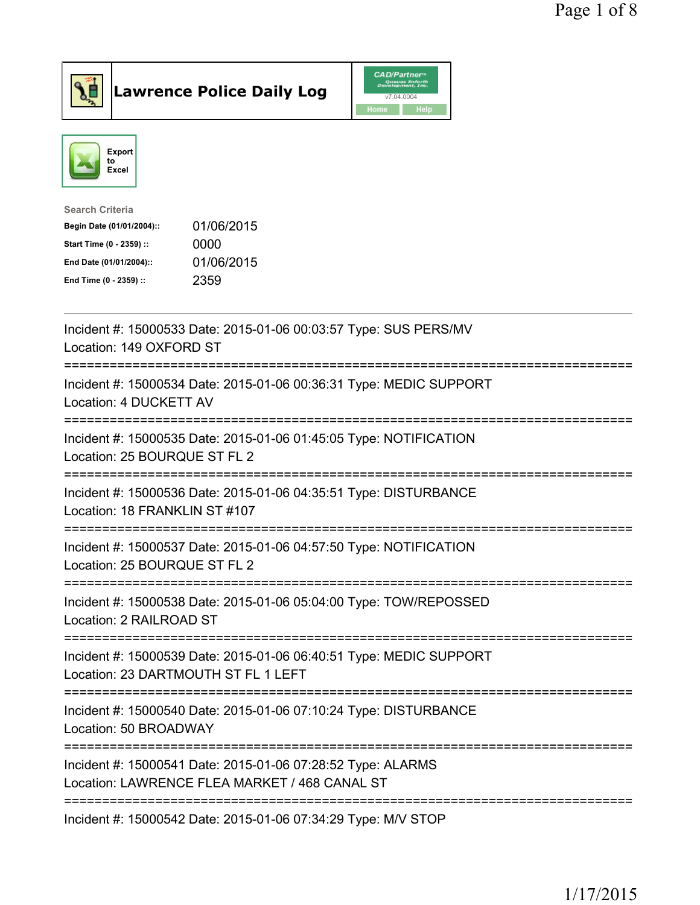



| <b>Search Criteria</b>    |            |
|---------------------------|------------|
| Begin Date (01/01/2004):: | 01/06/2015 |
| Start Time (0 - 2359) ::  | 0000       |
| End Date (01/01/2004)::   | 01/06/2015 |
| End Time (0 - 2359) ::    | 2359       |
|                           |            |

| Incident #: 15000533 Date: 2015-01-06 00:03:57 Type: SUS PERS/MV<br>Location: 149 OXFORD ST<br>========================== |
|---------------------------------------------------------------------------------------------------------------------------|
| Incident #: 15000534 Date: 2015-01-06 00:36:31 Type: MEDIC SUPPORT<br>Location: 4 DUCKETT AV                              |
| Incident #: 15000535 Date: 2015-01-06 01:45:05 Type: NOTIFICATION<br>Location: 25 BOURQUE ST FL 2                         |
| Incident #: 15000536 Date: 2015-01-06 04:35:51 Type: DISTURBANCE<br>Location: 18 FRANKLIN ST #107                         |
| Incident #: 15000537 Date: 2015-01-06 04:57:50 Type: NOTIFICATION<br>Location: 25 BOURQUE ST FL 2                         |
| Incident #: 15000538 Date: 2015-01-06 05:04:00 Type: TOW/REPOSSED<br>Location: 2 RAILROAD ST                              |
| Incident #: 15000539 Date: 2015-01-06 06:40:51 Type: MEDIC SUPPORT<br>Location: 23 DARTMOUTH ST FL 1 LEFT                 |
| Incident #: 15000540 Date: 2015-01-06 07:10:24 Type: DISTURBANCE<br>Location: 50 BROADWAY                                 |
| Incident #: 15000541 Date: 2015-01-06 07:28:52 Type: ALARMS<br>Location: LAWRENCE FLEA MARKET / 468 CANAL ST              |
| Incident #: 15000542 Date: 2015-01-06 07:34:29 Type: M/V STOP                                                             |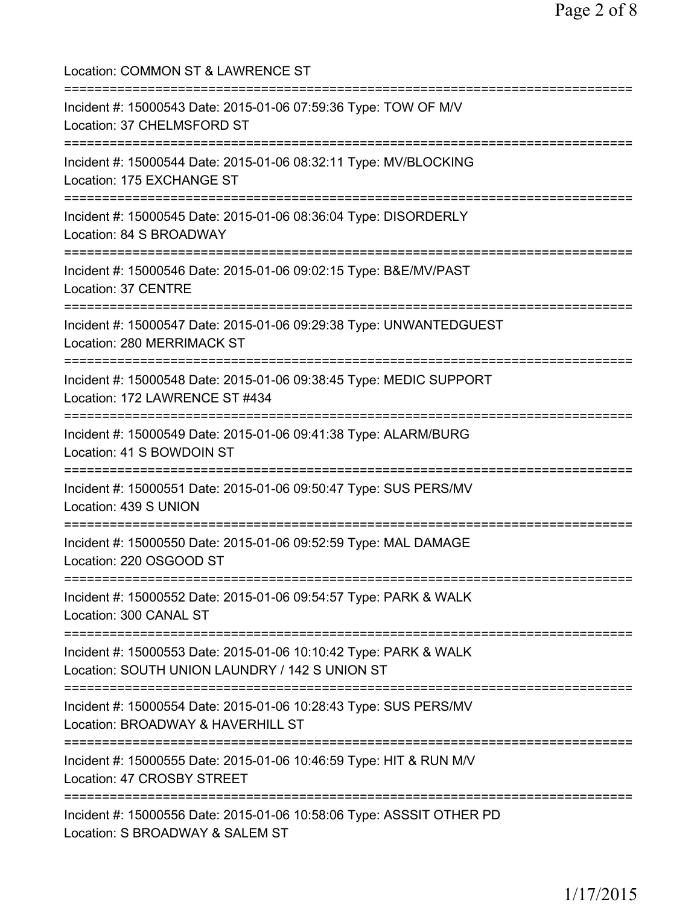Location: COMMON ST & LAWRENCE ST =========================================================================== Incident #: 15000543 Date: 2015-01-06 07:59:36 Type: TOW OF M/V Location: 37 CHELMSFORD ST =========================================================================== Incident #: 15000544 Date: 2015-01-06 08:32:11 Type: MV/BLOCKING Location: 175 EXCHANGE ST =========================================================================== Incident #: 15000545 Date: 2015-01-06 08:36:04 Type: DISORDERLY Location: 84 S BROADWAY =========================================================================== Incident #: 15000546 Date: 2015-01-06 09:02:15 Type: B&E/MV/PAST Location: 37 CENTRE =========================================================================== Incident #: 15000547 Date: 2015-01-06 09:29:38 Type: UNWANTEDGUEST Location: 280 MERRIMACK ST =========================================================================== Incident #: 15000548 Date: 2015-01-06 09:38:45 Type: MEDIC SUPPORT Location: 172 LAWRENCE ST #434 =========================================================================== Incident #: 15000549 Date: 2015-01-06 09:41:38 Type: ALARM/BURG Location: 41 S BOWDOIN ST =========================================================================== Incident #: 15000551 Date: 2015-01-06 09:50:47 Type: SUS PERS/MV Location: 439 S UNION =========================================================================== Incident #: 15000550 Date: 2015-01-06 09:52:59 Type: MAL DAMAGE Location: 220 OSGOOD ST =========================================================================== Incident #: 15000552 Date: 2015-01-06 09:54:57 Type: PARK & WALK Location: 300 CANAL ST =========================================================================== Incident #: 15000553 Date: 2015-01-06 10:10:42 Type: PARK & WALK Location: SOUTH UNION LAUNDRY / 142 S UNION ST =========================================================================== Incident #: 15000554 Date: 2015-01-06 10:28:43 Type: SUS PERS/MV Location: BROADWAY & HAVERHILL ST =========================================================================== Incident #: 15000555 Date: 2015-01-06 10:46:59 Type: HIT & RUN M/V Location: 47 CROSBY STREET =========================================================================== Incident #: 15000556 Date: 2015-01-06 10:58:06 Type: ASSSIT OTHER PD Location: S BROADWAY & SALEM ST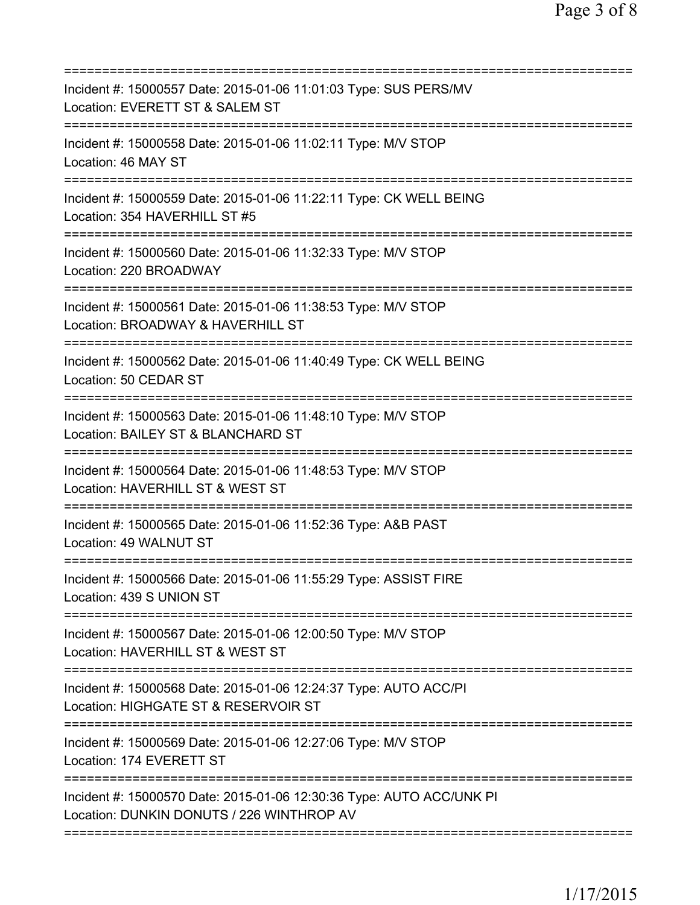| Incident #: 15000557 Date: 2015-01-06 11:01:03 Type: SUS PERS/MV<br>Location: EVERETT ST & SALEM ST<br>=====================     |
|----------------------------------------------------------------------------------------------------------------------------------|
| Incident #: 15000558 Date: 2015-01-06 11:02:11 Type: M/V STOP<br>Location: 46 MAY ST                                             |
| Incident #: 15000559 Date: 2015-01-06 11:22:11 Type: CK WELL BEING<br>Location: 354 HAVERHILL ST #5                              |
| Incident #: 15000560 Date: 2015-01-06 11:32:33 Type: M/V STOP<br>Location: 220 BROADWAY                                          |
| Incident #: 15000561 Date: 2015-01-06 11:38:53 Type: M/V STOP<br>Location: BROADWAY & HAVERHILL ST                               |
| ===========================<br>Incident #: 15000562 Date: 2015-01-06 11:40:49 Type: CK WELL BEING<br>Location: 50 CEDAR ST       |
| Incident #: 15000563 Date: 2015-01-06 11:48:10 Type: M/V STOP<br>Location: BAILEY ST & BLANCHARD ST                              |
| Incident #: 15000564 Date: 2015-01-06 11:48:53 Type: M/V STOP<br>Location: HAVERHILL ST & WEST ST<br>=========================== |
| Incident #: 15000565 Date: 2015-01-06 11:52:36 Type: A&B PAST<br>Location: 49 WALNUT ST                                          |
| Incident #: 15000566 Date: 2015-01-06 11:55:29 Type: ASSIST FIRE<br>Location: 439 S UNION ST                                     |
| Incident #: 15000567 Date: 2015-01-06 12:00:50 Type: M/V STOP<br>Location: HAVERHILL ST & WEST ST                                |
| Incident #: 15000568 Date: 2015-01-06 12:24:37 Type: AUTO ACC/PI<br>Location: HIGHGATE ST & RESERVOIR ST                         |
| Incident #: 15000569 Date: 2015-01-06 12:27:06 Type: M/V STOP<br>Location: 174 EVERETT ST                                        |
| Incident #: 15000570 Date: 2015-01-06 12:30:36 Type: AUTO ACC/UNK PI<br>Location: DUNKIN DONUTS / 226 WINTHROP AV                |
|                                                                                                                                  |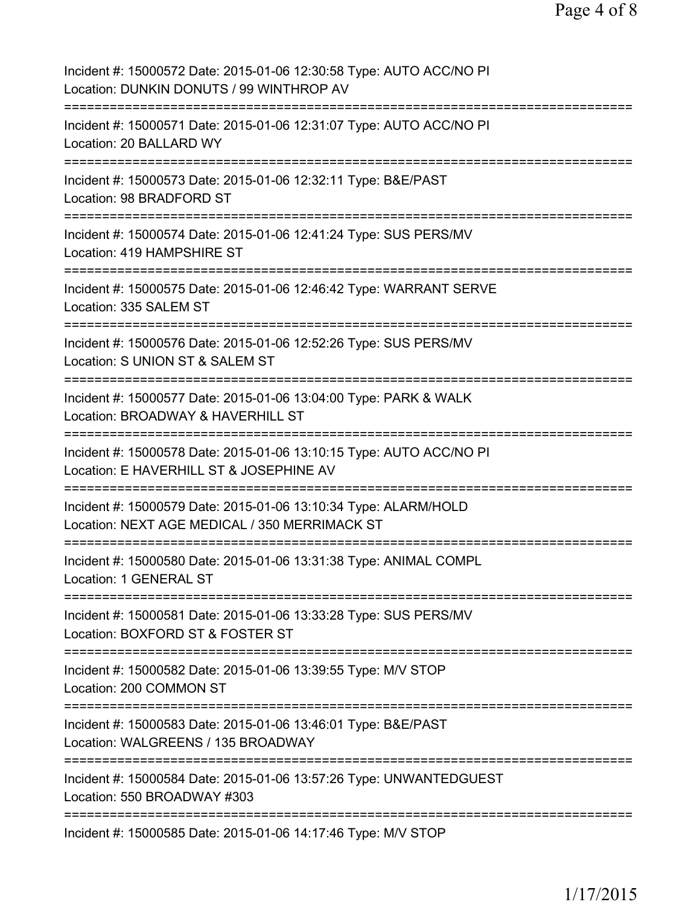| Incident #: 15000572 Date: 2015-01-06 12:30:58 Type: AUTO ACC/NO PI<br>Location: DUNKIN DONUTS / 99 WINTHROP AV                                        |
|--------------------------------------------------------------------------------------------------------------------------------------------------------|
| Incident #: 15000571 Date: 2015-01-06 12:31:07 Type: AUTO ACC/NO PI<br>Location: 20 BALLARD WY                                                         |
| Incident #: 15000573 Date: 2015-01-06 12:32:11 Type: B&E/PAST<br>Location: 98 BRADFORD ST                                                              |
| Incident #: 15000574 Date: 2015-01-06 12:41:24 Type: SUS PERS/MV<br>Location: 419 HAMPSHIRE ST                                                         |
| Incident #: 15000575 Date: 2015-01-06 12:46:42 Type: WARRANT SERVE<br>Location: 335 SALEM ST                                                           |
| Incident #: 15000576 Date: 2015-01-06 12:52:26 Type: SUS PERS/MV<br>Location: S UNION ST & SALEM ST                                                    |
| Incident #: 15000577 Date: 2015-01-06 13:04:00 Type: PARK & WALK<br>Location: BROADWAY & HAVERHILL ST<br>:=======================<br>================= |
| Incident #: 15000578 Date: 2015-01-06 13:10:15 Type: AUTO ACC/NO PI<br>Location: E HAVERHILL ST & JOSEPHINE AV<br>:========================            |
| =====================<br>Incident #: 15000579 Date: 2015-01-06 13:10:34 Type: ALARM/HOLD<br>Location: NEXT AGE MEDICAL / 350 MERRIMACK ST              |
| :=======================<br>Incident #: 15000580 Date: 2015-01-06 13:31:38 Type: ANIMAL COMPL<br><b>Location: 1 GENERAL ST</b>                         |
| Incident #: 15000581 Date: 2015-01-06 13:33:28 Type: SUS PERS/MV<br>Location: BOXFORD ST & FOSTER ST                                                   |
| Incident #: 15000582 Date: 2015-01-06 13:39:55 Type: M/V STOP<br>Location: 200 COMMON ST                                                               |
| Incident #: 15000583 Date: 2015-01-06 13:46:01 Type: B&E/PAST<br>Location: WALGREENS / 135 BROADWAY                                                    |
| Incident #: 15000584 Date: 2015-01-06 13:57:26 Type: UNWANTEDGUEST<br>Location: 550 BROADWAY #303                                                      |
| Incident #: 15000585 Date: 2015-01-06 14:17:46 Type: M/V STOP                                                                                          |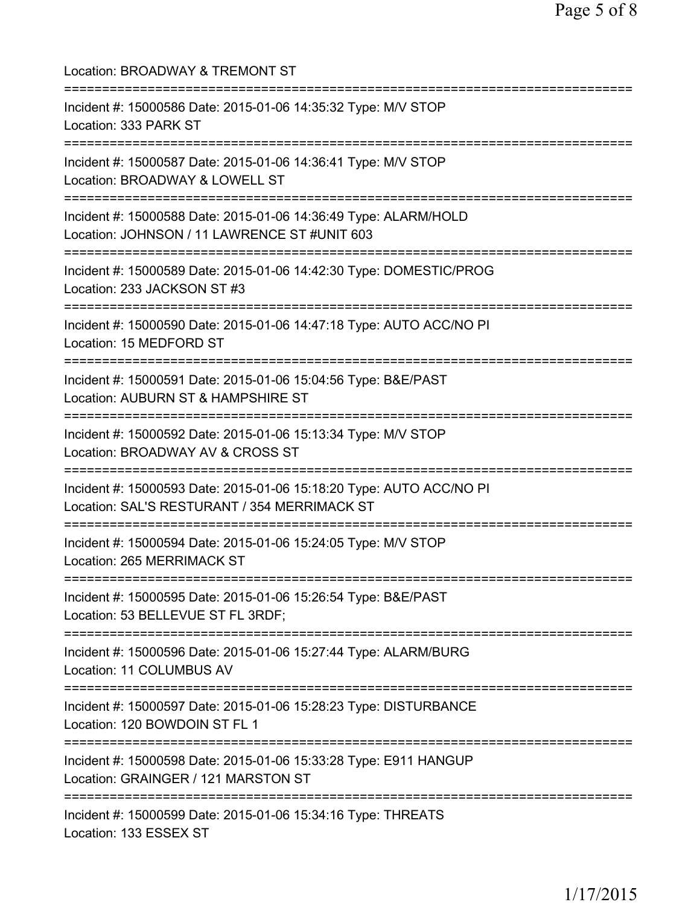| Location: BROADWAY & TREMONT ST                                                                                                                  |
|--------------------------------------------------------------------------------------------------------------------------------------------------|
| Incident #: 15000586 Date: 2015-01-06 14:35:32 Type: M/V STOP<br>Location: 333 PARK ST                                                           |
| Incident #: 15000587 Date: 2015-01-06 14:36:41 Type: M/V STOP<br>Location: BROADWAY & LOWELL ST                                                  |
| Incident #: 15000588 Date: 2015-01-06 14:36:49 Type: ALARM/HOLD<br>Location: JOHNSON / 11 LAWRENCE ST #UNIT 603                                  |
| Incident #: 15000589 Date: 2015-01-06 14:42:30 Type: DOMESTIC/PROG<br>Location: 233 JACKSON ST #3                                                |
| =========================<br>Incident #: 15000590 Date: 2015-01-06 14:47:18 Type: AUTO ACC/NO PI<br>Location: 15 MEDFORD ST                      |
| Incident #: 15000591 Date: 2015-01-06 15:04:56 Type: B&E/PAST<br>Location: AUBURN ST & HAMPSHIRE ST                                              |
| Incident #: 15000592 Date: 2015-01-06 15:13:34 Type: M/V STOP<br>Location: BROADWAY AV & CROSS ST                                                |
| Incident #: 15000593 Date: 2015-01-06 15:18:20 Type: AUTO ACC/NO PI<br>Location: SAL'S RESTURANT / 354 MERRIMACK ST                              |
| Incident #: 15000594 Date: 2015-01-06 15:24:05 Type: M/V STOP<br>Location: 265 MERRIMACK ST                                                      |
| ===================================<br>Incident #: 15000595 Date: 2015-01-06 15:26:54 Type: B&E/PAST<br>Location: 53 BELLEVUE ST FL 3RDF;        |
| -------<br>Incident #: 15000596 Date: 2015-01-06 15:27:44 Type: ALARM/BURG<br>Location: 11 COLUMBUS AV                                           |
| Incident #: 15000597 Date: 2015-01-06 15:28:23 Type: DISTURBANCE<br>Location: 120 BOWDOIN ST FL 1                                                |
| =====================================<br>Incident #: 15000598 Date: 2015-01-06 15:33:28 Type: E911 HANGUP<br>Location: GRAINGER / 121 MARSTON ST |
| Incident #: 15000599 Date: 2015-01-06 15:34:16 Type: THREATS<br>Location: 133 ESSEX ST                                                           |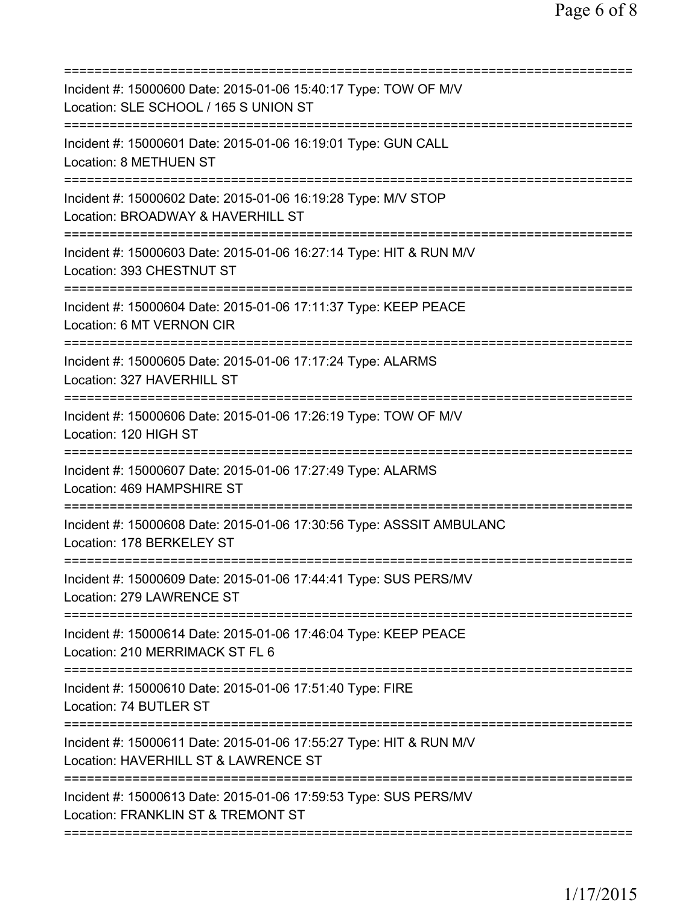| Incident #: 15000600 Date: 2015-01-06 15:40:17 Type: TOW OF M/V<br>Location: SLE SCHOOL / 165 S UNION ST                                      |
|-----------------------------------------------------------------------------------------------------------------------------------------------|
| Incident #: 15000601 Date: 2015-01-06 16:19:01 Type: GUN CALL<br>Location: 8 METHUEN ST                                                       |
| Incident #: 15000602 Date: 2015-01-06 16:19:28 Type: M/V STOP<br>Location: BROADWAY & HAVERHILL ST                                            |
| =============================<br>=========<br>Incident #: 15000603 Date: 2015-01-06 16:27:14 Type: HIT & RUN M/V<br>Location: 393 CHESTNUT ST |
| Incident #: 15000604 Date: 2015-01-06 17:11:37 Type: KEEP PEACE<br>Location: 6 MT VERNON CIR                                                  |
| Incident #: 15000605 Date: 2015-01-06 17:17:24 Type: ALARMS<br>Location: 327 HAVERHILL ST                                                     |
| Incident #: 15000606 Date: 2015-01-06 17:26:19 Type: TOW OF M/V<br>Location: 120 HIGH ST                                                      |
| Incident #: 15000607 Date: 2015-01-06 17:27:49 Type: ALARMS<br>Location: 469 HAMPSHIRE ST                                                     |
| Incident #: 15000608 Date: 2015-01-06 17:30:56 Type: ASSSIT AMBULANC<br>Location: 178 BERKELEY ST                                             |
| Incident #: 15000609 Date: 2015-01-06 17:44:41 Type: SUS PERS/MV<br>Location: 279 LAWRENCE ST                                                 |
| Incident #: 15000614 Date: 2015-01-06 17:46:04 Type: KEEP PEACE<br>Location: 210 MERRIMACK ST FL 6                                            |
| Incident #: 15000610 Date: 2015-01-06 17:51:40 Type: FIRE<br>Location: 74 BUTLER ST                                                           |
| Incident #: 15000611 Date: 2015-01-06 17:55:27 Type: HIT & RUN M/V<br>Location: HAVERHILL ST & LAWRENCE ST                                    |
| Incident #: 15000613 Date: 2015-01-06 17:59:53 Type: SUS PERS/MV<br>Location: FRANKLIN ST & TREMONT ST                                        |
|                                                                                                                                               |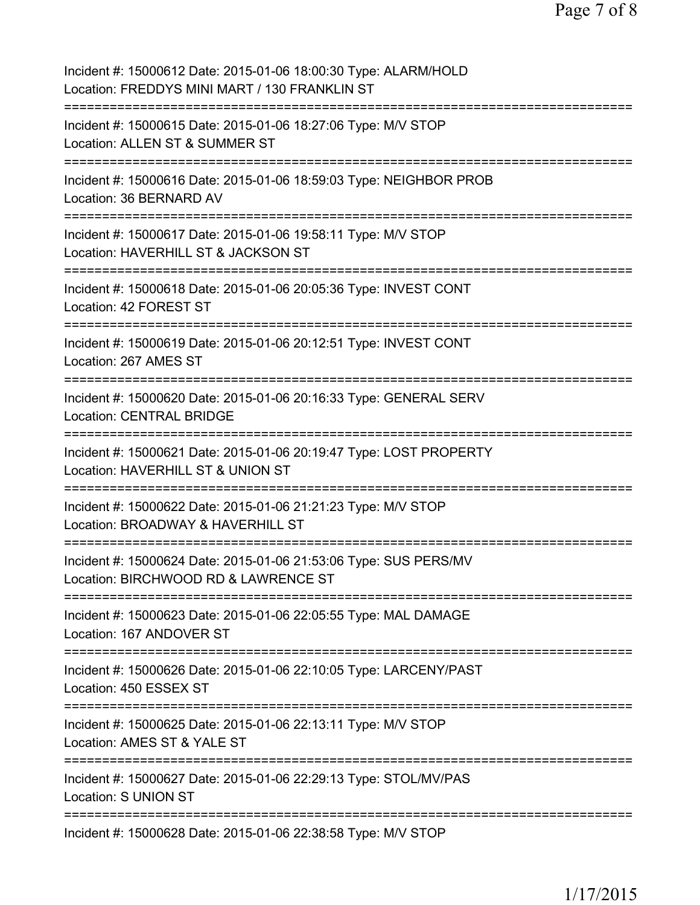| Incident #: 15000612 Date: 2015-01-06 18:00:30 Type: ALARM/HOLD<br>Location: FREDDYS MINI MART / 130 FRANKLIN ST                |
|---------------------------------------------------------------------------------------------------------------------------------|
| Incident #: 15000615 Date: 2015-01-06 18:27:06 Type: M/V STOP<br>Location: ALLEN ST & SUMMER ST                                 |
| Incident #: 15000616 Date: 2015-01-06 18:59:03 Type: NEIGHBOR PROB<br>Location: 36 BERNARD AV                                   |
| Incident #: 15000617 Date: 2015-01-06 19:58:11 Type: M/V STOP<br>Location: HAVERHILL ST & JACKSON ST<br>======================= |
| Incident #: 15000618 Date: 2015-01-06 20:05:36 Type: INVEST CONT<br>Location: 42 FOREST ST<br>-----------------------------     |
| Incident #: 15000619 Date: 2015-01-06 20:12:51 Type: INVEST CONT<br>Location: 267 AMES ST                                       |
| Incident #: 15000620 Date: 2015-01-06 20:16:33 Type: GENERAL SERV<br>Location: CENTRAL BRIDGE                                   |
| Incident #: 15000621 Date: 2015-01-06 20:19:47 Type: LOST PROPERTY<br>Location: HAVERHILL ST & UNION ST                         |
| Incident #: 15000622 Date: 2015-01-06 21:21:23 Type: M/V STOP<br>Location: BROADWAY & HAVERHILL ST                              |
| Incident #: 15000624 Date: 2015-01-06 21:53:06 Type: SUS PERS/MV<br>Location: BIRCHWOOD RD & LAWRENCE ST                        |
| Incident #: 15000623 Date: 2015-01-06 22:05:55 Type: MAL DAMAGE<br>Location: 167 ANDOVER ST                                     |
| Incident #: 15000626 Date: 2015-01-06 22:10:05 Type: LARCENY/PAST<br>Location: 450 ESSEX ST                                     |
| Incident #: 15000625 Date: 2015-01-06 22:13:11 Type: M/V STOP<br>Location: AMES ST & YALE ST<br>-------------                   |
| Incident #: 15000627 Date: 2015-01-06 22:29:13 Type: STOL/MV/PAS<br><b>Location: S UNION ST</b>                                 |
| Incident #: 15000628 Date: 2015-01-06 22:38:58 Type: M/V STOP                                                                   |